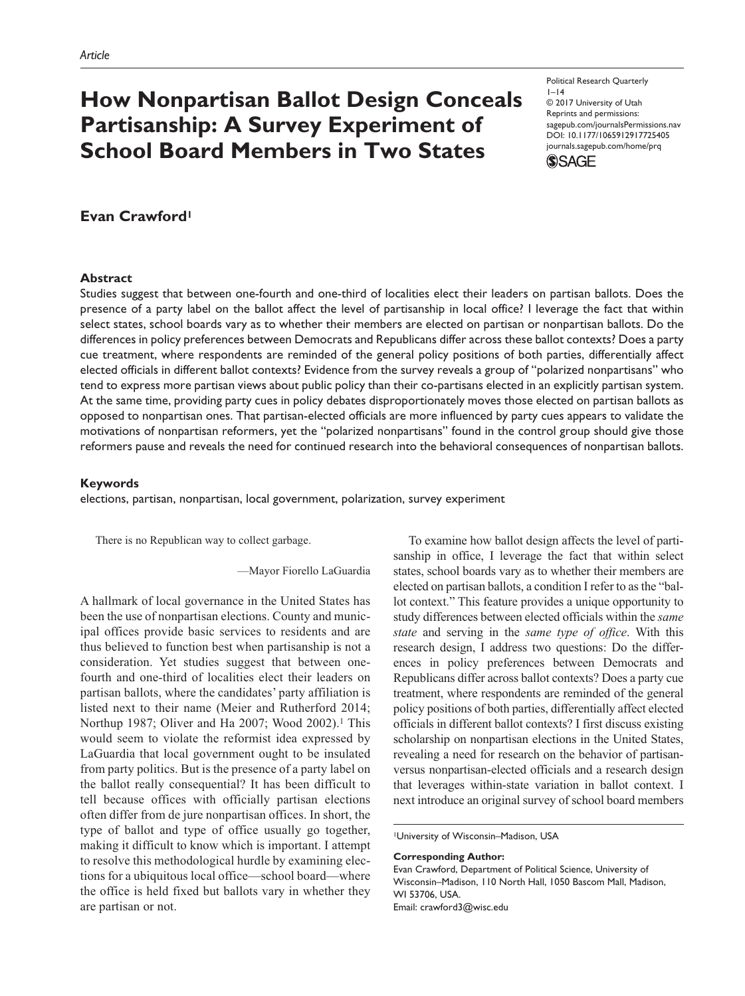# **How Nonpartisan Ballot Design Conceals Partisanship: A Survey Experiment of School Board Members in Two States**

Political Research Quarterly  $1-14$ © 2017 University of Utah Reprints and permissions: [sagepub.com/journalsPermissions.nav](https://us.sagepub.com/en-us/journals-permissions) https://doi.org/10.1177/1065912917725405 DOI: 10.1177/1065912917725405 [journals.sagepub.com/home/prq](https://journals.sagepub.com/home/prq) **SSAGE** 

# **Evan Crawford1**

#### **Abstract**

Studies suggest that between one-fourth and one-third of localities elect their leaders on partisan ballots. Does the presence of a party label on the ballot affect the level of partisanship in local office? I leverage the fact that within select states, school boards vary as to whether their members are elected on partisan or nonpartisan ballots. Do the differences in policy preferences between Democrats and Republicans differ across these ballot contexts? Does a party cue treatment, where respondents are reminded of the general policy positions of both parties, differentially affect elected officials in different ballot contexts? Evidence from the survey reveals a group of "polarized nonpartisans" who tend to express more partisan views about public policy than their co-partisans elected in an explicitly partisan system. At the same time, providing party cues in policy debates disproportionately moves those elected on partisan ballots as opposed to nonpartisan ones. That partisan-elected officials are more influenced by party cues appears to validate the motivations of nonpartisan reformers, yet the "polarized nonpartisans" found in the control group should give those reformers pause and reveals the need for continued research into the behavioral consequences of nonpartisan ballots.

#### **Keywords**

elections, partisan, nonpartisan, local government, polarization, survey experiment

There is no Republican way to collect garbage.

—Mayor Fiorello LaGuardia

A hallmark of local governance in the United States has been the use of nonpartisan elections. County and municipal offices provide basic services to residents and are thus believed to function best when partisanship is not a consideration. Yet studies suggest that between onefourth and one-third of localities elect their leaders on partisan ballots, where the candidates' party affiliation is listed next to their name (Meier and Rutherford 2014; Northup 1987; Oliver and Ha 2007; Wood 2002).<sup>1</sup> This would seem to violate the reformist idea expressed by LaGuardia that local government ought to be insulated from party politics. But is the presence of a party label on the ballot really consequential? It has been difficult to tell because offices with officially partisan elections often differ from de jure nonpartisan offices. In short, the type of ballot and type of office usually go together, making it difficult to know which is important. I attempt to resolve this methodological hurdle by examining elections for a ubiquitous local office—school board—where the office is held fixed but ballots vary in whether they are partisan or not.

To examine how ballot design affects the level of partisanship in office, I leverage the fact that within select states, school boards vary as to whether their members are elected on partisan ballots, a condition I refer to as the "ballot context." This feature provides a unique opportunity to study differences between elected officials within the *same state* and serving in the *same type of office*. With this research design, I address two questions: Do the differences in policy preferences between Democrats and Republicans differ across ballot contexts? Does a party cue treatment, where respondents are reminded of the general policy positions of both parties, differentially affect elected officials in different ballot contexts? I first discuss existing scholarship on nonpartisan elections in the United States, revealing a need for research on the behavior of partisanversus nonpartisan-elected officials and a research design that leverages within-state variation in ballot context. I next introduce an original survey of school board members

1University of Wisconsin–Madison, USA

#### **Corresponding Author:**

Evan Crawford, Department of Political Science, University of Wisconsin–Madison, 110 North Hall, 1050 Bascom Mall, Madison, WI 53706, USA. Email: [crawford3@wisc.edu](mailto:crawford3@wisc.edu)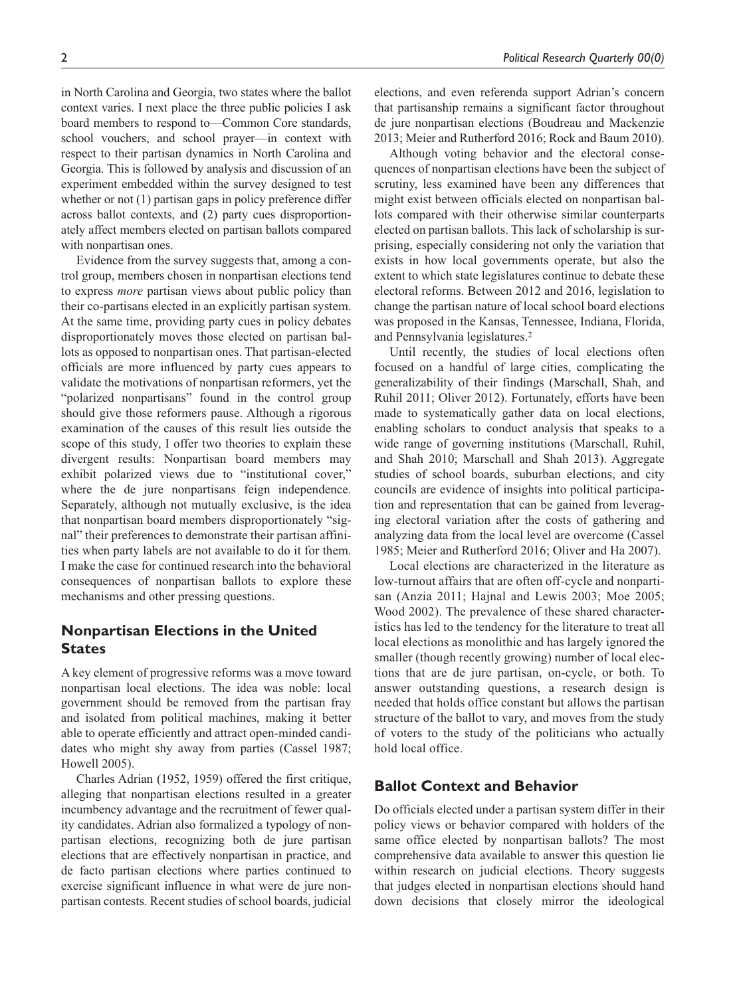in North Carolina and Georgia, two states where the ballot context varies. I next place the three public policies I ask board members to respond to—Common Core standards, school vouchers, and school prayer—in context with respect to their partisan dynamics in North Carolina and Georgia. This is followed by analysis and discussion of an experiment embedded within the survey designed to test whether or not (1) partisan gaps in policy preference differ across ballot contexts, and (2) party cues disproportionately affect members elected on partisan ballots compared with nonpartisan ones.

Evidence from the survey suggests that, among a control group, members chosen in nonpartisan elections tend to express *more* partisan views about public policy than their co-partisans elected in an explicitly partisan system. At the same time, providing party cues in policy debates disproportionately moves those elected on partisan ballots as opposed to nonpartisan ones. That partisan-elected officials are more influenced by party cues appears to validate the motivations of nonpartisan reformers, yet the "polarized nonpartisans" found in the control group should give those reformers pause. Although a rigorous examination of the causes of this result lies outside the scope of this study, I offer two theories to explain these divergent results: Nonpartisan board members may exhibit polarized views due to "institutional cover," where the de jure nonpartisans feign independence. Separately, although not mutually exclusive, is the idea that nonpartisan board members disproportionately "signal" their preferences to demonstrate their partisan affinities when party labels are not available to do it for them. I make the case for continued research into the behavioral consequences of nonpartisan ballots to explore these mechanisms and other pressing questions.

# **Nonpartisan Elections in the United States**

A key element of progressive reforms was a move toward nonpartisan local elections. The idea was noble: local government should be removed from the partisan fray and isolated from political machines, making it better able to operate efficiently and attract open-minded candidates who might shy away from parties (Cassel 1987; Howell 2005).

Charles Adrian (1952, 1959) offered the first critique, alleging that nonpartisan elections resulted in a greater incumbency advantage and the recruitment of fewer quality candidates. Adrian also formalized a typology of nonpartisan elections, recognizing both de jure partisan elections that are effectively nonpartisan in practice, and de facto partisan elections where parties continued to exercise significant influence in what were de jure nonpartisan contests. Recent studies of school boards, judicial elections, and even referenda support Adrian's concern that partisanship remains a significant factor throughout de jure nonpartisan elections (Boudreau and Mackenzie 2013; Meier and Rutherford 2016; Rock and Baum 2010).

Although voting behavior and the electoral consequences of nonpartisan elections have been the subject of scrutiny, less examined have been any differences that might exist between officials elected on nonpartisan ballots compared with their otherwise similar counterparts elected on partisan ballots. This lack of scholarship is surprising, especially considering not only the variation that exists in how local governments operate, but also the extent to which state legislatures continue to debate these electoral reforms. Between 2012 and 2016, legislation to change the partisan nature of local school board elections was proposed in the Kansas, Tennessee, Indiana, Florida, and Pennsylvania legislatures.2

Until recently, the studies of local elections often focused on a handful of large cities, complicating the generalizability of their findings (Marschall, Shah, and Ruhil 2011; Oliver 2012). Fortunately, efforts have been made to systematically gather data on local elections, enabling scholars to conduct analysis that speaks to a wide range of governing institutions (Marschall, Ruhil, and Shah 2010; Marschall and Shah 2013). Aggregate studies of school boards, suburban elections, and city councils are evidence of insights into political participation and representation that can be gained from leveraging electoral variation after the costs of gathering and analyzing data from the local level are overcome (Cassel 1985; Meier and Rutherford 2016; Oliver and Ha 2007).

Local elections are characterized in the literature as low-turnout affairs that are often off-cycle and nonpartisan (Anzia 2011; Hajnal and Lewis 2003; Moe 2005; Wood 2002). The prevalence of these shared characteristics has led to the tendency for the literature to treat all local elections as monolithic and has largely ignored the smaller (though recently growing) number of local elections that are de jure partisan, on-cycle, or both. To answer outstanding questions, a research design is needed that holds office constant but allows the partisan structure of the ballot to vary, and moves from the study of voters to the study of the politicians who actually hold local office.

## **Ballot Context and Behavior**

Do officials elected under a partisan system differ in their policy views or behavior compared with holders of the same office elected by nonpartisan ballots? The most comprehensive data available to answer this question lie within research on judicial elections. Theory suggests that judges elected in nonpartisan elections should hand down decisions that closely mirror the ideological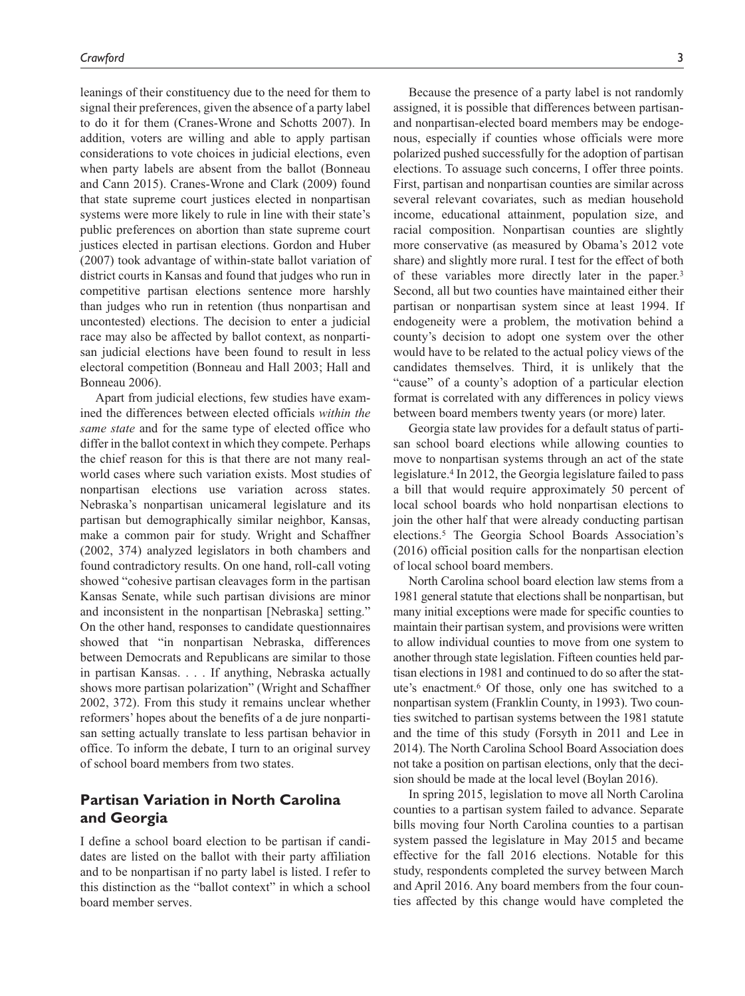leanings of their constituency due to the need for them to signal their preferences, given the absence of a party label to do it for them (Cranes-Wrone and Schotts 2007). In addition, voters are willing and able to apply partisan considerations to vote choices in judicial elections, even when party labels are absent from the ballot (Bonneau and Cann 2015). Cranes-Wrone and Clark (2009) found that state supreme court justices elected in nonpartisan systems were more likely to rule in line with their state's public preferences on abortion than state supreme court justices elected in partisan elections. Gordon and Huber (2007) took advantage of within-state ballot variation of district courts in Kansas and found that judges who run in competitive partisan elections sentence more harshly than judges who run in retention (thus nonpartisan and uncontested) elections. The decision to enter a judicial race may also be affected by ballot context, as nonpartisan judicial elections have been found to result in less electoral competition (Bonneau and Hall 2003; Hall and Bonneau 2006).

Apart from judicial elections, few studies have examined the differences between elected officials *within the same state* and for the same type of elected office who differ in the ballot context in which they compete. Perhaps the chief reason for this is that there are not many realworld cases where such variation exists. Most studies of nonpartisan elections use variation across states. Nebraska's nonpartisan unicameral legislature and its partisan but demographically similar neighbor, Kansas, make a common pair for study. Wright and Schaffner (2002, 374) analyzed legislators in both chambers and found contradictory results. On one hand, roll-call voting showed "cohesive partisan cleavages form in the partisan Kansas Senate, while such partisan divisions are minor and inconsistent in the nonpartisan [Nebraska] setting." On the other hand, responses to candidate questionnaires showed that "in nonpartisan Nebraska, differences between Democrats and Republicans are similar to those in partisan Kansas. . . . If anything, Nebraska actually shows more partisan polarization" (Wright and Schaffner 2002, 372). From this study it remains unclear whether reformers' hopes about the benefits of a de jure nonpartisan setting actually translate to less partisan behavior in office. To inform the debate, I turn to an original survey of school board members from two states.

# **Partisan Variation in North Carolina and Georgia**

I define a school board election to be partisan if candidates are listed on the ballot with their party affiliation and to be nonpartisan if no party label is listed. I refer to this distinction as the "ballot context" in which a school board member serves.

Because the presence of a party label is not randomly assigned, it is possible that differences between partisanand nonpartisan-elected board members may be endogenous, especially if counties whose officials were more polarized pushed successfully for the adoption of partisan elections. To assuage such concerns, I offer three points. First, partisan and nonpartisan counties are similar across several relevant covariates, such as median household income, educational attainment, population size, and racial composition. Nonpartisan counties are slightly more conservative (as measured by Obama's 2012 vote share) and slightly more rural. I test for the effect of both of these variables more directly later in the paper.3 Second, all but two counties have maintained either their partisan or nonpartisan system since at least 1994. If endogeneity were a problem, the motivation behind a county's decision to adopt one system over the other would have to be related to the actual policy views of the candidates themselves. Third, it is unlikely that the "cause" of a county's adoption of a particular election format is correlated with any differences in policy views between board members twenty years (or more) later.

Georgia state law provides for a default status of partisan school board elections while allowing counties to move to nonpartisan systems through an act of the state legislature.4 In 2012, the Georgia legislature failed to pass a bill that would require approximately 50 percent of local school boards who hold nonpartisan elections to join the other half that were already conducting partisan elections.5 The Georgia School Boards Association's (2016) official position calls for the nonpartisan election of local school board members.

North Carolina school board election law stems from a 1981 general statute that elections shall be nonpartisan, but many initial exceptions were made for specific counties to maintain their partisan system, and provisions were written to allow individual counties to move from one system to another through state legislation. Fifteen counties held partisan elections in 1981 and continued to do so after the statute's enactment.6 Of those, only one has switched to a nonpartisan system (Franklin County, in 1993). Two counties switched to partisan systems between the 1981 statute and the time of this study (Forsyth in 2011 and Lee in 2014). The North Carolina School Board Association does not take a position on partisan elections, only that the decision should be made at the local level (Boylan 2016).

In spring 2015, legislation to move all North Carolina counties to a partisan system failed to advance. Separate bills moving four North Carolina counties to a partisan system passed the legislature in May 2015 and became effective for the fall 2016 elections. Notable for this study, respondents completed the survey between March and April 2016. Any board members from the four counties affected by this change would have completed the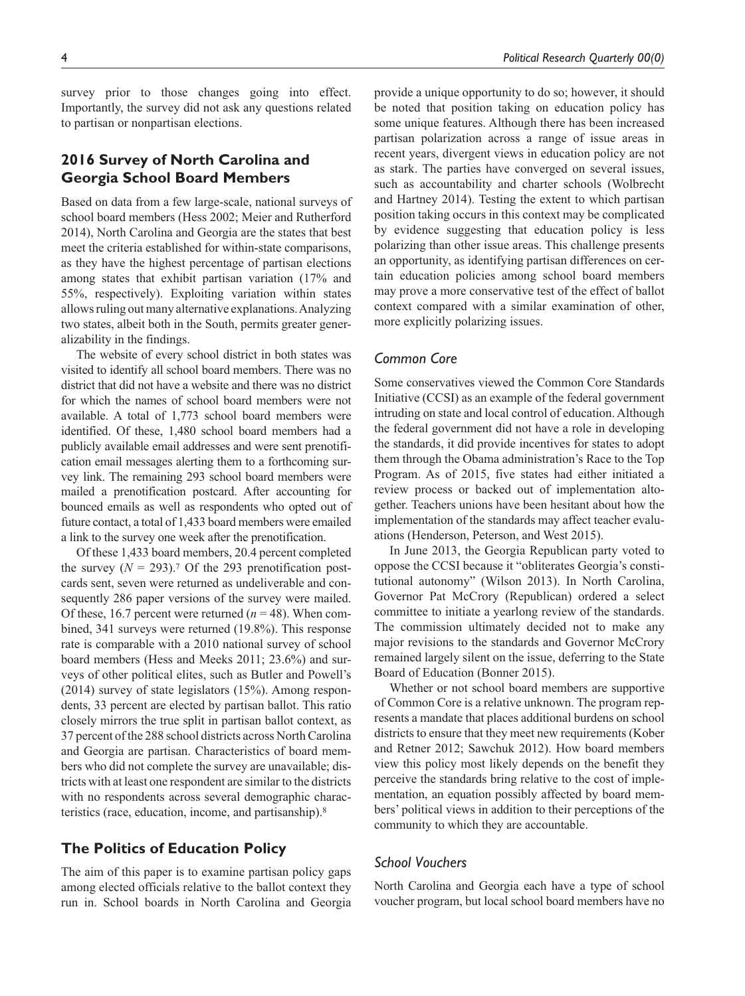survey prior to those changes going into effect. Importantly, the survey did not ask any questions related to partisan or nonpartisan elections.

# **2016 Survey of North Carolina and Georgia School Board Members**

Based on data from a few large-scale, national surveys of school board members (Hess 2002; Meier and Rutherford 2014), North Carolina and Georgia are the states that best meet the criteria established for within-state comparisons, as they have the highest percentage of partisan elections among states that exhibit partisan variation (17% and 55%, respectively). Exploiting variation within states allows ruling out many alternative explanations. Analyzing two states, albeit both in the South, permits greater generalizability in the findings.

The website of every school district in both states was visited to identify all school board members. There was no district that did not have a website and there was no district for which the names of school board members were not available. A total of 1,773 school board members were identified. Of these, 1,480 school board members had a publicly available email addresses and were sent prenotification email messages alerting them to a forthcoming survey link. The remaining 293 school board members were mailed a prenotification postcard. After accounting for bounced emails as well as respondents who opted out of future contact, a total of 1,433 board members were emailed a link to the survey one week after the prenotification.

Of these 1,433 board members, 20.4 percent completed the survey  $(N = 293)$ .<sup>7</sup> Of the 293 prenotification postcards sent, seven were returned as undeliverable and consequently 286 paper versions of the survey were mailed. Of these, 16.7 percent were returned  $(n = 48)$ . When combined, 341 surveys were returned (19.8%). This response rate is comparable with a 2010 national survey of school board members (Hess and Meeks 2011; 23.6%) and surveys of other political elites, such as Butler and Powell's (2014) survey of state legislators (15%). Among respondents, 33 percent are elected by partisan ballot. This ratio closely mirrors the true split in partisan ballot context, as 37 percent of the 288 school districts across North Carolina and Georgia are partisan. Characteristics of board members who did not complete the survey are unavailable; districts with at least one respondent are similar to the districts with no respondents across several demographic characteristics (race, education, income, and partisanship).8

# **The Politics of Education Policy**

The aim of this paper is to examine partisan policy gaps among elected officials relative to the ballot context they run in. School boards in North Carolina and Georgia provide a unique opportunity to do so; however, it should be noted that position taking on education policy has some unique features. Although there has been increased partisan polarization across a range of issue areas in recent years, divergent views in education policy are not as stark. The parties have converged on several issues, such as accountability and charter schools (Wolbrecht and Hartney 2014). Testing the extent to which partisan position taking occurs in this context may be complicated by evidence suggesting that education policy is less polarizing than other issue areas. This challenge presents an opportunity, as identifying partisan differences on certain education policies among school board members may prove a more conservative test of the effect of ballot context compared with a similar examination of other, more explicitly polarizing issues.

# *Common Core*

Some conservatives viewed the Common Core Standards Initiative (CCSI) as an example of the federal government intruding on state and local control of education. Although the federal government did not have a role in developing the standards, it did provide incentives for states to adopt them through the Obama administration's Race to the Top Program. As of 2015, five states had either initiated a review process or backed out of implementation altogether. Teachers unions have been hesitant about how the implementation of the standards may affect teacher evaluations (Henderson, Peterson, and West 2015).

In June 2013, the Georgia Republican party voted to oppose the CCSI because it "obliterates Georgia's constitutional autonomy" (Wilson 2013). In North Carolina, Governor Pat McCrory (Republican) ordered a select committee to initiate a yearlong review of the standards. The commission ultimately decided not to make any major revisions to the standards and Governor McCrory remained largely silent on the issue, deferring to the State Board of Education (Bonner 2015).

Whether or not school board members are supportive of Common Core is a relative unknown. The program represents a mandate that places additional burdens on school districts to ensure that they meet new requirements (Kober and Retner 2012; Sawchuk 2012). How board members view this policy most likely depends on the benefit they perceive the standards bring relative to the cost of implementation, an equation possibly affected by board members' political views in addition to their perceptions of the community to which they are accountable.

# *School Vouchers*

North Carolina and Georgia each have a type of school voucher program, but local school board members have no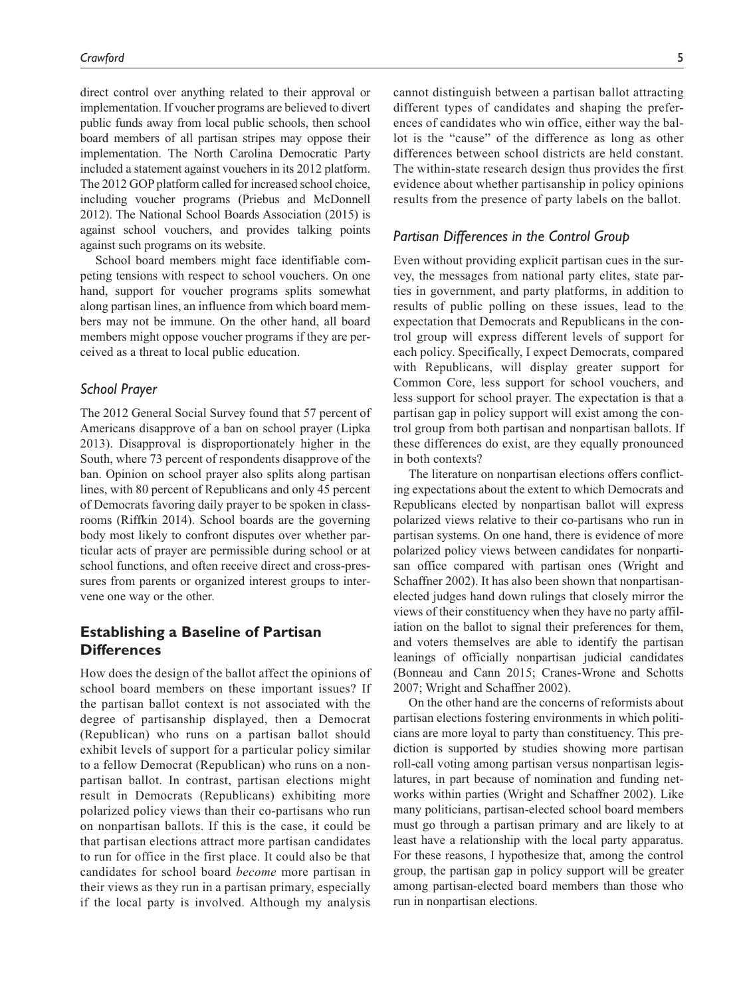direct control over anything related to their approval or implementation. If voucher programs are believed to divert public funds away from local public schools, then school board members of all partisan stripes may oppose their implementation. The North Carolina Democratic Party included a statement against vouchers in its 2012 platform. The 2012 GOP platform called for increased school choice, including voucher programs (Priebus and McDonnell 2012). The National School Boards Association (2015) is against school vouchers, and provides talking points against such programs on its website.

School board members might face identifiable competing tensions with respect to school vouchers. On one hand, support for voucher programs splits somewhat along partisan lines, an influence from which board members may not be immune. On the other hand, all board members might oppose voucher programs if they are perceived as a threat to local public education.

### *School Prayer*

The 2012 General Social Survey found that 57 percent of Americans disapprove of a ban on school prayer (Lipka 2013). Disapproval is disproportionately higher in the South, where 73 percent of respondents disapprove of the ban. Opinion on school prayer also splits along partisan lines, with 80 percent of Republicans and only 45 percent of Democrats favoring daily prayer to be spoken in classrooms (Riffkin 2014). School boards are the governing body most likely to confront disputes over whether particular acts of prayer are permissible during school or at school functions, and often receive direct and cross-pressures from parents or organized interest groups to intervene one way or the other.

# **Establishing a Baseline of Partisan Differences**

How does the design of the ballot affect the opinions of school board members on these important issues? If the partisan ballot context is not associated with the degree of partisanship displayed, then a Democrat (Republican) who runs on a partisan ballot should exhibit levels of support for a particular policy similar to a fellow Democrat (Republican) who runs on a nonpartisan ballot. In contrast, partisan elections might result in Democrats (Republicans) exhibiting more polarized policy views than their co-partisans who run on nonpartisan ballots. If this is the case, it could be that partisan elections attract more partisan candidates to run for office in the first place. It could also be that candidates for school board *become* more partisan in their views as they run in a partisan primary, especially if the local party is involved. Although my analysis

cannot distinguish between a partisan ballot attracting different types of candidates and shaping the preferences of candidates who win office, either way the ballot is the "cause" of the difference as long as other differences between school districts are held constant. The within-state research design thus provides the first evidence about whether partisanship in policy opinions results from the presence of party labels on the ballot.

### *Partisan Differences in the Control Group*

Even without providing explicit partisan cues in the survey, the messages from national party elites, state parties in government, and party platforms, in addition to results of public polling on these issues, lead to the expectation that Democrats and Republicans in the control group will express different levels of support for each policy. Specifically, I expect Democrats, compared with Republicans, will display greater support for Common Core, less support for school vouchers, and less support for school prayer. The expectation is that a partisan gap in policy support will exist among the control group from both partisan and nonpartisan ballots. If these differences do exist, are they equally pronounced in both contexts?

The literature on nonpartisan elections offers conflicting expectations about the extent to which Democrats and Republicans elected by nonpartisan ballot will express polarized views relative to their co-partisans who run in partisan systems. On one hand, there is evidence of more polarized policy views between candidates for nonpartisan office compared with partisan ones (Wright and Schaffner 2002). It has also been shown that nonpartisanelected judges hand down rulings that closely mirror the views of their constituency when they have no party affiliation on the ballot to signal their preferences for them, and voters themselves are able to identify the partisan leanings of officially nonpartisan judicial candidates (Bonneau and Cann 2015; Cranes-Wrone and Schotts 2007; Wright and Schaffner 2002).

On the other hand are the concerns of reformists about partisan elections fostering environments in which politicians are more loyal to party than constituency. This prediction is supported by studies showing more partisan roll-call voting among partisan versus nonpartisan legislatures, in part because of nomination and funding networks within parties (Wright and Schaffner 2002). Like many politicians, partisan-elected school board members must go through a partisan primary and are likely to at least have a relationship with the local party apparatus. For these reasons, I hypothesize that, among the control group, the partisan gap in policy support will be greater among partisan-elected board members than those who run in nonpartisan elections.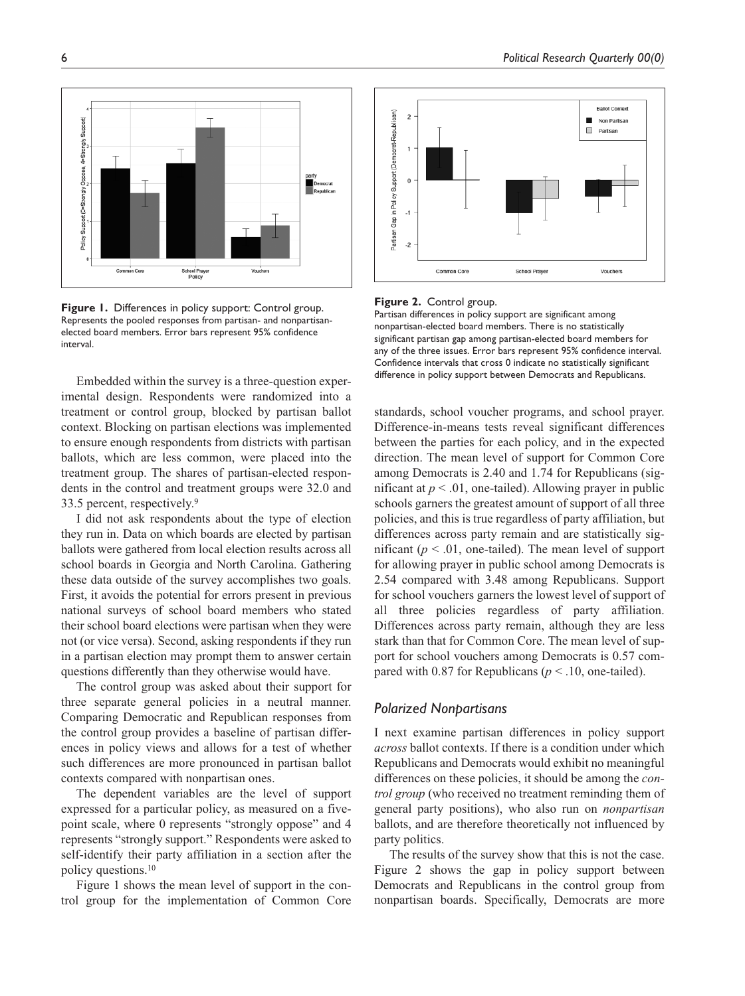

**Figure 1.** Differences in policy support: Control group. Represents the pooled responses from partisan- and nonpartisanelected board members. Error bars represent 95% confidence interval.

imental design. Respondents were randomized into a treatment or control group, blocked by partisan ballot context. Blocking on partisan elections was implemented to ensure enough respondents from districts with partisan ballots, which are less common, were placed into the treatment group. The shares of partisan-elected respondents in the control and treatment groups were 32.0 and 33.5 percent, respectively.9

I did not ask respondents about the type of election they run in. Data on which boards are elected by partisan ballots were gathered from local election results across all school boards in Georgia and North Carolina. Gathering these data outside of the survey accomplishes two goals. First, it avoids the potential for errors present in previous national surveys of school board members who stated their school board elections were partisan when they were not (or vice versa). Second, asking respondents if they run in a partisan election may prompt them to answer certain questions differently than they otherwise would have.

The control group was asked about their support for three separate general policies in a neutral manner. Comparing Democratic and Republican responses from the control group provides a baseline of partisan differences in policy views and allows for a test of whether such differences are more pronounced in partisan ballot contexts compared with nonpartisan ones.

The dependent variables are the level of support expressed for a particular policy, as measured on a fivepoint scale, where 0 represents "strongly oppose" and 4 represents "strongly support." Respondents were asked to self-identify their party affiliation in a section after the policy questions.10

Figure 1 shows the mean level of support in the control group for the implementation of Common Core



#### **Figure 2.** Control group.

Partisan differences in policy support are significant among nonpartisan-elected board members. There is no statistically significant partisan gap among partisan-elected board members for any of the three issues. Error bars represent 95% confidence interval. Confidence intervals that cross 0 indicate no statistically significant difference in policy support between Democrats and Republicans. Embedded within the survey is a three-question exper-

> standards, school voucher programs, and school prayer. Difference-in-means tests reveal significant differences between the parties for each policy, and in the expected direction. The mean level of support for Common Core among Democrats is 2.40 and 1.74 for Republicans (significant at  $p < 0.01$ , one-tailed). Allowing prayer in public schools garners the greatest amount of support of all three policies, and this is true regardless of party affiliation, but differences across party remain and are statistically significant  $(p < .01,$  one-tailed). The mean level of support for allowing prayer in public school among Democrats is 2.54 compared with 3.48 among Republicans. Support for school vouchers garners the lowest level of support of all three policies regardless of party affiliation. Differences across party remain, although they are less stark than that for Common Core. The mean level of support for school vouchers among Democrats is 0.57 compared with 0.87 for Republicans ( $p < 0.10$ , one-tailed).

### *Polarized Nonpartisans*

I next examine partisan differences in policy support *across* ballot contexts. If there is a condition under which Republicans and Democrats would exhibit no meaningful differences on these policies, it should be among the *control group* (who received no treatment reminding them of general party positions), who also run on *nonpartisan* ballots, and are therefore theoretically not influenced by party politics.

The results of the survey show that this is not the case. Figure 2 shows the gap in policy support between Democrats and Republicans in the control group from nonpartisan boards. Specifically, Democrats are more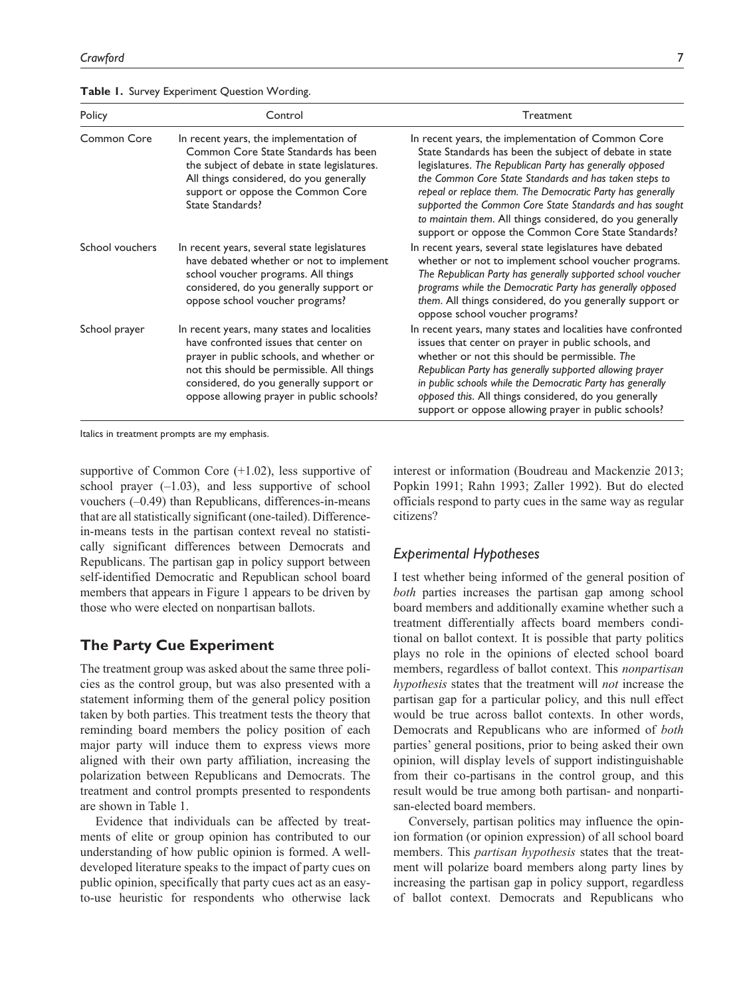**Table 1.** Survey Experiment Question Wording.

| Policy          | Control                                                                                                                                                                                                                                                                | Treatment                                                                                                                                                                                                                                                                                                                                                                                                                                                                        |
|-----------------|------------------------------------------------------------------------------------------------------------------------------------------------------------------------------------------------------------------------------------------------------------------------|----------------------------------------------------------------------------------------------------------------------------------------------------------------------------------------------------------------------------------------------------------------------------------------------------------------------------------------------------------------------------------------------------------------------------------------------------------------------------------|
| Common Core     | In recent years, the implementation of<br>Common Core State Standards has been<br>the subject of debate in state legislatures.<br>All things considered, do you generally<br>support or oppose the Common Core<br>State Standards?                                     | In recent years, the implementation of Common Core<br>State Standards has been the subject of debate in state<br>legislatures. The Republican Party has generally opposed<br>the Common Core State Standards and has taken steps to<br>repeal or replace them. The Democratic Party has generally<br>supported the Common Core State Standards and has sought<br>to maintain them. All things considered, do you generally<br>support or oppose the Common Core State Standards? |
| School vouchers | In recent years, several state legislatures<br>have debated whether or not to implement<br>school voucher programs. All things<br>considered, do you generally support or<br>oppose school voucher programs?                                                           | In recent years, several state legislatures have debated<br>whether or not to implement school voucher programs.<br>The Republican Party has generally supported school voucher<br>programs while the Democratic Party has generally opposed<br>them. All things considered, do you generally support or<br>oppose school voucher programs?                                                                                                                                      |
| School prayer   | In recent years, many states and localities<br>have confronted issues that center on<br>prayer in public schools, and whether or<br>not this should be permissible. All things<br>considered, do you generally support or<br>oppose allowing prayer in public schools? | In recent years, many states and localities have confronted<br>issues that center on prayer in public schools, and<br>whether or not this should be permissible. The<br>Republican Party has generally supported allowing prayer<br>in public schools while the Democratic Party has generally<br>opposed this. All things considered, do you generally<br>support or oppose allowing prayer in public schools?                                                                  |

Italics in treatment prompts are my emphasis.

supportive of Common Core (+1.02), less supportive of school prayer  $(-1.03)$ , and less supportive of school vouchers (–0.49) than Republicans, differences-in-means that are all statistically significant (one-tailed). Differencein-means tests in the partisan context reveal no statistically significant differences between Democrats and Republicans. The partisan gap in policy support between self-identified Democratic and Republican school board members that appears in Figure 1 appears to be driven by those who were elected on nonpartisan ballots.

### **The Party Cue Experiment**

The treatment group was asked about the same three policies as the control group, but was also presented with a statement informing them of the general policy position taken by both parties. This treatment tests the theory that reminding board members the policy position of each major party will induce them to express views more aligned with their own party affiliation, increasing the polarization between Republicans and Democrats. The treatment and control prompts presented to respondents are shown in Table 1.

Evidence that individuals can be affected by treatments of elite or group opinion has contributed to our understanding of how public opinion is formed. A welldeveloped literature speaks to the impact of party cues on public opinion, specifically that party cues act as an easyto-use heuristic for respondents who otherwise lack

interest or information (Boudreau and Mackenzie 2013; Popkin 1991; Rahn 1993; Zaller 1992). But do elected officials respond to party cues in the same way as regular citizens?

### *Experimental Hypotheses*

I test whether being informed of the general position of *both* parties increases the partisan gap among school board members and additionally examine whether such a treatment differentially affects board members conditional on ballot context. It is possible that party politics plays no role in the opinions of elected school board members, regardless of ballot context. This *nonpartisan hypothesis* states that the treatment will *not* increase the partisan gap for a particular policy, and this null effect would be true across ballot contexts. In other words, Democrats and Republicans who are informed of *both* parties' general positions, prior to being asked their own opinion, will display levels of support indistinguishable from their co-partisans in the control group, and this result would be true among both partisan- and nonpartisan-elected board members.

Conversely, partisan politics may influence the opinion formation (or opinion expression) of all school board members. This *partisan hypothesis* states that the treatment will polarize board members along party lines by increasing the partisan gap in policy support, regardless of ballot context. Democrats and Republicans who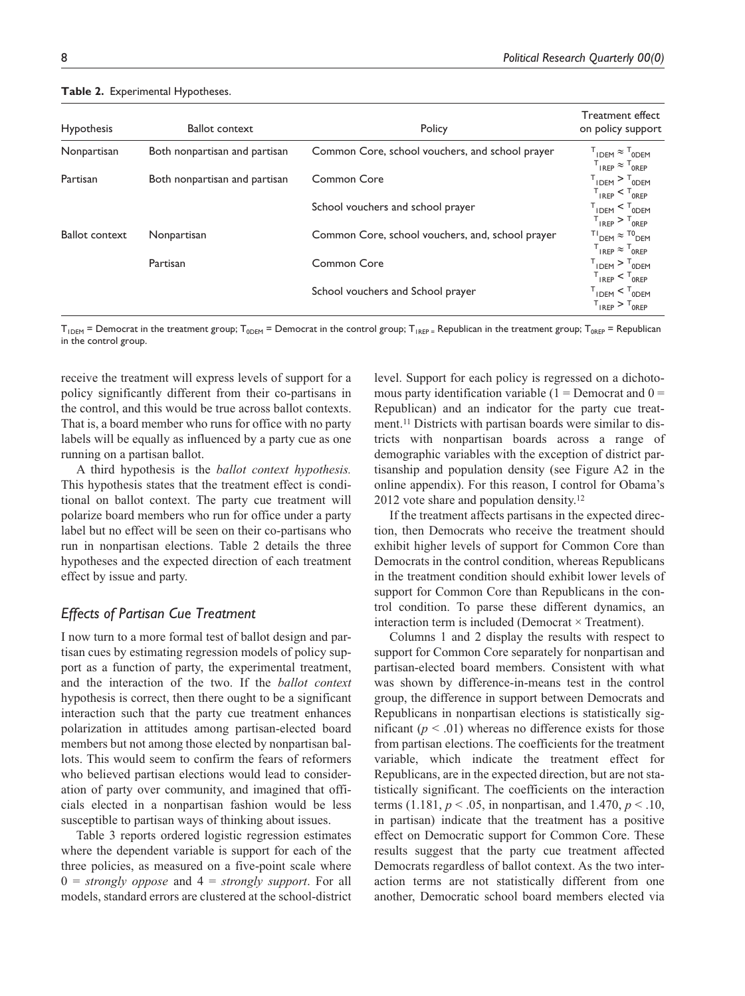| <b>Hypothesis</b>     | <b>Ballot context</b>         | Policy                                           | <b>Treatment effect</b><br>on policy support                             |
|-----------------------|-------------------------------|--------------------------------------------------|--------------------------------------------------------------------------|
| Nonpartisan           | Both nonpartisan and partisan | Common Core, school vouchers, and school prayer  | $T_{\text{IDEM}} \approx T_{\text{ODEM}}$<br>$T_{IREP} \approx T_{OREP}$ |
| Partisan              | Both nonpartisan and partisan | Common Core                                      | $T_{IDEM}$ > $T_{ODEM}$<br>$T_{IRFP}$ $<$ $T_{ORFP}$                     |
|                       |                               | School vouchers and school prayer                | $T_{IDEM}$ < $T_{ODEM}$<br>$T_{IREP}$ > $T_{OREP}$                       |
| <b>Ballot</b> context | Nonpartisan                   | Common Core, school vouchers, and, school prayer | $T1_{\text{DEM}} \approx T0_{\text{DEM}}$<br>$T_{IREP} \approx T_{OREP}$ |
|                       | Partisan                      | Common Core                                      | $T_{IDEM}$ > $T_{ODEM}$<br>$T_{IREP}$ $<$ $T_{OREP}$                     |
|                       |                               | School vouchers and School prayer                | $T_{IDEM}$ < $T_{ODEM}$<br>$T_{IREP}$ > $T_{OREP}$                       |

**Table 2.** Experimental Hypotheses.

 $T_{1DEM}$  = Democrat in the treatment group;  $T_{0DEM}$  = Democrat in the control group;  $T_{1REP}$  = Republican in the treatment group;  $T_{0REP}$  = Republican in the control group.

receive the treatment will express levels of support for a policy significantly different from their co-partisans in the control, and this would be true across ballot contexts. That is, a board member who runs for office with no party labels will be equally as influenced by a party cue as one running on a partisan ballot.

A third hypothesis is the *ballot context hypothesis.* This hypothesis states that the treatment effect is conditional on ballot context. The party cue treatment will polarize board members who run for office under a party label but no effect will be seen on their co-partisans who run in nonpartisan elections. Table 2 details the three hypotheses and the expected direction of each treatment effect by issue and party.

### *Effects of Partisan Cue Treatment*

I now turn to a more formal test of ballot design and partisan cues by estimating regression models of policy support as a function of party, the experimental treatment, and the interaction of the two. If the *ballot context* hypothesis is correct, then there ought to be a significant interaction such that the party cue treatment enhances polarization in attitudes among partisan-elected board members but not among those elected by nonpartisan ballots. This would seem to confirm the fears of reformers who believed partisan elections would lead to consideration of party over community, and imagined that officials elected in a nonpartisan fashion would be less susceptible to partisan ways of thinking about issues.

Table 3 reports ordered logistic regression estimates where the dependent variable is support for each of the three policies, as measured on a five-point scale where  $0 = strongly \op{oppose}$  and  $4 = strongly \sup{port}$ . For all models, standard errors are clustered at the school-district

level. Support for each policy is regressed on a dichotomous party identification variable  $(1 =$  Democrat and  $0 =$ Republican) and an indicator for the party cue treatment.11 Districts with partisan boards were similar to districts with nonpartisan boards across a range of demographic variables with the exception of district partisanship and population density (see Figure A2 in the [online appendix\)](http://journals.sagepub.com/doi/suppl/10.1177/1065912917725405). For this reason, I control for Obama's 2012 vote share and population density.12

If the treatment affects partisans in the expected direction, then Democrats who receive the treatment should exhibit higher levels of support for Common Core than Democrats in the control condition, whereas Republicans in the treatment condition should exhibit lower levels of support for Common Core than Republicans in the control condition. To parse these different dynamics, an interaction term is included (Democrat × Treatment).

Columns 1 and 2 display the results with respect to support for Common Core separately for nonpartisan and partisan-elected board members. Consistent with what was shown by difference-in-means test in the control group, the difference in support between Democrats and Republicans in nonpartisan elections is statistically significant  $(p < .01)$  whereas no difference exists for those from partisan elections. The coefficients for the treatment variable, which indicate the treatment effect for Republicans, are in the expected direction, but are not statistically significant. The coefficients on the interaction terms (1.181,  $p < .05$ , in nonpartisan, and 1.470,  $p < .10$ , in partisan) indicate that the treatment has a positive effect on Democratic support for Common Core. These results suggest that the party cue treatment affected Democrats regardless of ballot context. As the two interaction terms are not statistically different from one another, Democratic school board members elected via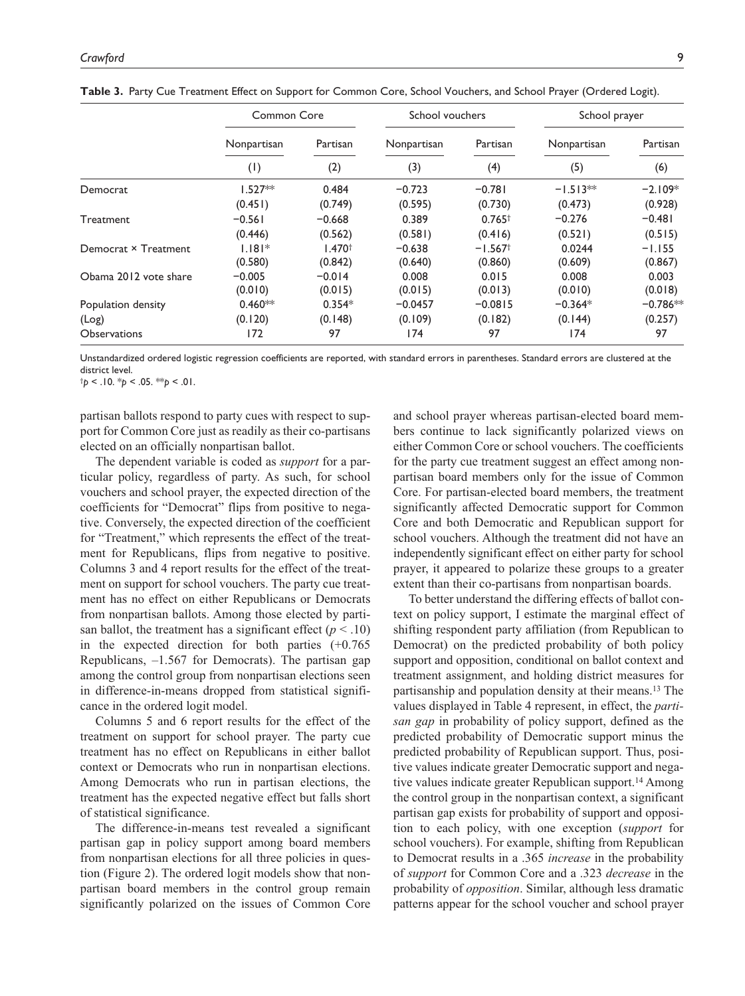|                       | Common Core |                    | School vouchers |                       | School prayer |            |  |
|-----------------------|-------------|--------------------|-----------------|-----------------------|---------------|------------|--|
|                       | Nonpartisan | Partisan           | Nonpartisan     | Partisan              | Nonpartisan   | Partisan   |  |
|                       | (1)         | (2)                | (3)             | (4)                   | (5)           | (6)        |  |
| Democrat              | $1.527**$   | 0.484              | $-0.723$        | $-0.781$              | $-1.513**$    | $-2.109*$  |  |
|                       | (0.451)     | (0.749)            | (0.595)         | (0.730)               | (0.473)       | (0.928)    |  |
| Treatment             | $-0.561$    | $-0.668$           | 0.389           | $0.765$ <sup>+</sup>  | $-0.276$      | $-0.481$   |  |
|                       | (0.446)     | (0.562)            | (0.581)         | (0.416)               | (0.521)       | (0.515)    |  |
| Democrat × Treatment  | $1.181*$    | 1.470 <sup>†</sup> | $-0.638$        | $-1.567$ <sup>+</sup> | 0.0244        | $-1.155$   |  |
|                       | (0.580)     | (0.842)            | (0.640)         | (0.860)               | (0.609)       | (0.867)    |  |
| Obama 2012 vote share | $-0.005$    | $-0.014$           | 0.008           | 0.015                 | 0.008         | 0.003      |  |
|                       | (0.010)     | (0.015)            | (0.015)         | (0.013)               | (0.010)       | (0.018)    |  |
| Population density    | $0.460**$   | $0.354*$           | $-0.0457$       | $-0.0815$             | $-0.364*$     | $-0.786**$ |  |
| (Log)                 | (0.120)     | (0.148)            | (0.109)         | (0.182)               | (0.144)       | (0.257)    |  |
| <b>Observations</b>   | 172         | 97                 | 174             | 97                    | 174           | 97         |  |

**Table 3.** Party Cue Treatment Effect on Support for Common Core, School Vouchers, and School Prayer (Ordered Logit).

Unstandardized ordered logistic regression coefficients are reported, with standard errors in parentheses. Standard errors are clustered at the district level.

†*p* < .10. \**p* < .05. \*\**p* < .01.

partisan ballots respond to party cues with respect to support for Common Core just as readily as their co-partisans elected on an officially nonpartisan ballot.

The dependent variable is coded as *support* for a particular policy, regardless of party. As such, for school vouchers and school prayer, the expected direction of the coefficients for "Democrat" flips from positive to negative. Conversely, the expected direction of the coefficient for "Treatment," which represents the effect of the treatment for Republicans, flips from negative to positive. Columns 3 and 4 report results for the effect of the treatment on support for school vouchers. The party cue treatment has no effect on either Republicans or Democrats from nonpartisan ballots. Among those elected by partisan ballot, the treatment has a significant effect  $(p < .10)$ in the expected direction for both parties (+0.765 Republicans, –1.567 for Democrats). The partisan gap among the control group from nonpartisan elections seen in difference-in-means dropped from statistical significance in the ordered logit model.

Columns 5 and 6 report results for the effect of the treatment on support for school prayer. The party cue treatment has no effect on Republicans in either ballot context or Democrats who run in nonpartisan elections. Among Democrats who run in partisan elections, the treatment has the expected negative effect but falls short of statistical significance.

The difference-in-means test revealed a significant partisan gap in policy support among board members from nonpartisan elections for all three policies in question (Figure 2). The ordered logit models show that nonpartisan board members in the control group remain significantly polarized on the issues of Common Core

and school prayer whereas partisan-elected board members continue to lack significantly polarized views on either Common Core or school vouchers. The coefficients for the party cue treatment suggest an effect among nonpartisan board members only for the issue of Common Core. For partisan-elected board members, the treatment significantly affected Democratic support for Common Core and both Democratic and Republican support for school vouchers. Although the treatment did not have an independently significant effect on either party for school prayer, it appeared to polarize these groups to a greater extent than their co-partisans from nonpartisan boards.

To better understand the differing effects of ballot context on policy support, I estimate the marginal effect of shifting respondent party affiliation (from Republican to Democrat) on the predicted probability of both policy support and opposition, conditional on ballot context and treatment assignment, and holding district measures for partisanship and population density at their means.13 The values displayed in Table 4 represent, in effect, the *partisan gap* in probability of policy support, defined as the predicted probability of Democratic support minus the predicted probability of Republican support. Thus, positive values indicate greater Democratic support and negative values indicate greater Republican support.14 Among the control group in the nonpartisan context, a significant partisan gap exists for probability of support and opposition to each policy, with one exception (*support* for school vouchers). For example, shifting from Republican to Democrat results in a .365 *increase* in the probability of *support* for Common Core and a .323 *decrease* in the probability of *opposition*. Similar, although less dramatic patterns appear for the school voucher and school prayer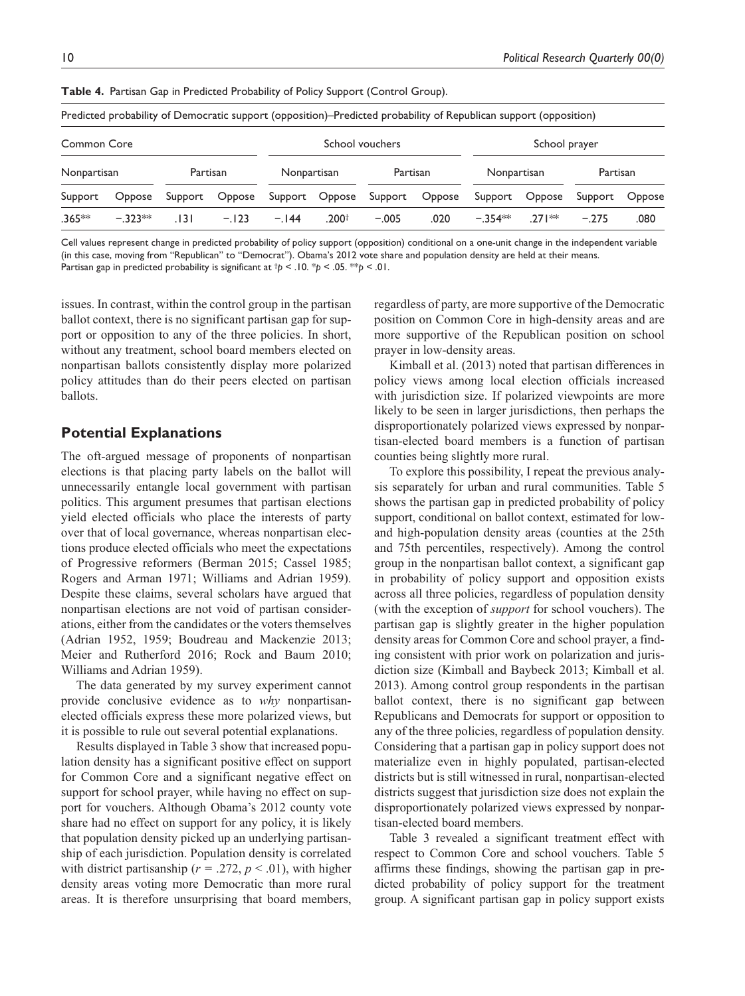|             |          | <b>Table 4.</b> Partisan Gap in Predicted Probability of Policy Support (Control Group). |          |                                                                                                                   |          |  |
|-------------|----------|------------------------------------------------------------------------------------------|----------|-------------------------------------------------------------------------------------------------------------------|----------|--|
|             |          |                                                                                          |          | Predicted probability of Democratic support (opposition)–Predicted probability of Republican support (opposition) |          |  |
| Common Core |          | School vouchers                                                                          |          | School prayer                                                                                                     |          |  |
| Nonpartisan | Partisan | Nonpartisan                                                                              | Partisan | Nonpartisan                                                                                                       | Partisan |  |

**Table 4.** Partisan Gap in Predicted Probability of Policy Support (Control Group).

Cell values represent change in predicted probability of policy support (opposition) conditional on a one-unit change in the independent variable (in this case, moving from "Republican" to "Democrat"). Obama's 2012 vote share and population density are held at their means. Partisan gap in predicted probability is significant at †*p* < .10. \**p* < .05. \*\**p* < .01.

Support Oppose Support Oppose Support Oppose Support Oppose Support Oppose Support Oppose .365\*\* −.323\*\* .131 −.123 −.144 .200† −.005 .020 −.354\*\* .271\*\* −.275 .080

issues. In contrast, within the control group in the partisan ballot context, there is no significant partisan gap for support or opposition to any of the three policies. In short, without any treatment, school board members elected on nonpartisan ballots consistently display more polarized policy attitudes than do their peers elected on partisan ballots.

# **Potential Explanations**

The oft-argued message of proponents of nonpartisan elections is that placing party labels on the ballot will unnecessarily entangle local government with partisan politics. This argument presumes that partisan elections yield elected officials who place the interests of party over that of local governance, whereas nonpartisan elections produce elected officials who meet the expectations of Progressive reformers (Berman 2015; Cassel 1985; Rogers and Arman 1971; Williams and Adrian 1959). Despite these claims, several scholars have argued that nonpartisan elections are not void of partisan considerations, either from the candidates or the voters themselves (Adrian 1952, 1959; Boudreau and Mackenzie 2013; Meier and Rutherford 2016; Rock and Baum 2010; Williams and Adrian 1959).

The data generated by my survey experiment cannot provide conclusive evidence as to *why* nonpartisanelected officials express these more polarized views, but it is possible to rule out several potential explanations.

Results displayed in Table 3 show that increased population density has a significant positive effect on support for Common Core and a significant negative effect on support for school prayer, while having no effect on support for vouchers. Although Obama's 2012 county vote share had no effect on support for any policy, it is likely that population density picked up an underlying partisanship of each jurisdiction. Population density is correlated with district partisanship ( $r = .272$ ,  $p < .01$ ), with higher density areas voting more Democratic than more rural areas. It is therefore unsurprising that board members,

regardless of party, are more supportive of the Democratic position on Common Core in high-density areas and are more supportive of the Republican position on school prayer in low-density areas.

Kimball et al. (2013) noted that partisan differences in policy views among local election officials increased with jurisdiction size. If polarized viewpoints are more likely to be seen in larger jurisdictions, then perhaps the disproportionately polarized views expressed by nonpartisan-elected board members is a function of partisan counties being slightly more rural.

To explore this possibility, I repeat the previous analysis separately for urban and rural communities. Table 5 shows the partisan gap in predicted probability of policy support, conditional on ballot context, estimated for lowand high-population density areas (counties at the 25th and 75th percentiles, respectively). Among the control group in the nonpartisan ballot context, a significant gap in probability of policy support and opposition exists across all three policies, regardless of population density (with the exception of *support* for school vouchers). The partisan gap is slightly greater in the higher population density areas for Common Core and school prayer, a finding consistent with prior work on polarization and jurisdiction size (Kimball and Baybeck 2013; Kimball et al. 2013). Among control group respondents in the partisan ballot context, there is no significant gap between Republicans and Democrats for support or opposition to any of the three policies, regardless of population density. Considering that a partisan gap in policy support does not materialize even in highly populated, partisan-elected districts but is still witnessed in rural, nonpartisan-elected districts suggest that jurisdiction size does not explain the disproportionately polarized views expressed by nonpartisan-elected board members.

Table 3 revealed a significant treatment effect with respect to Common Core and school vouchers. Table 5 affirms these findings, showing the partisan gap in predicted probability of policy support for the treatment group. A significant partisan gap in policy support exists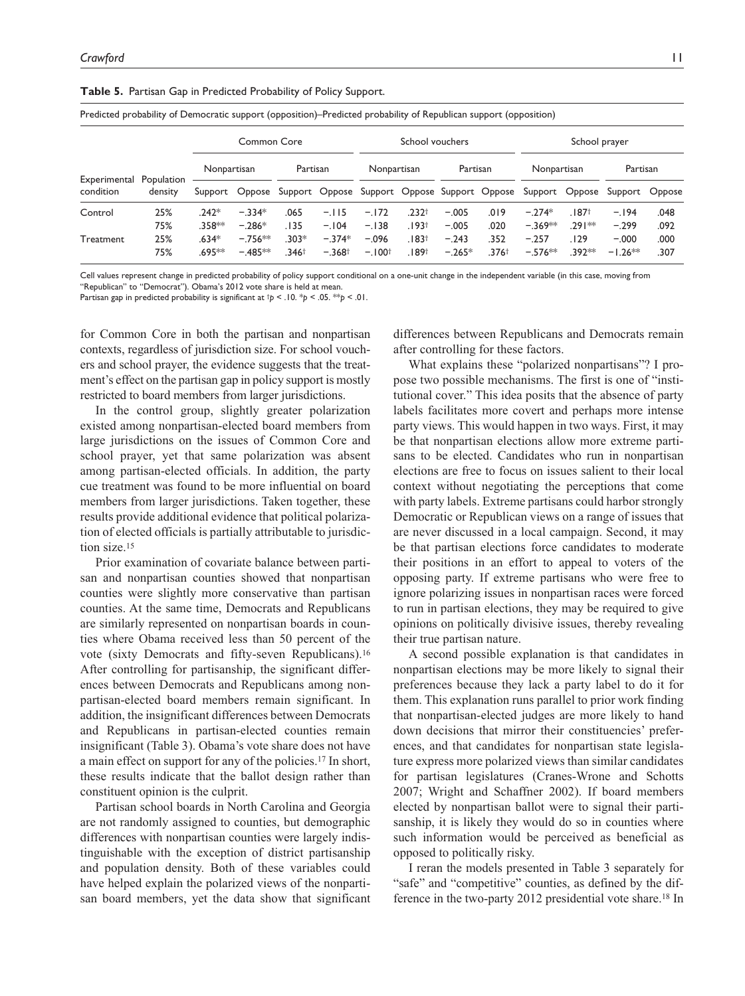| Predicted probability of Democratic support (opposition)-Predicted probability of Republican support (opposition) |                       |             |                                                             |          |                 |             |                   |               |         |             |                   |                               |      |
|-------------------------------------------------------------------------------------------------------------------|-----------------------|-------------|-------------------------------------------------------------|----------|-----------------|-------------|-------------------|---------------|---------|-------------|-------------------|-------------------------------|------|
| Experimental<br>condition                                                                                         | Population<br>density | Common Core |                                                             |          | School vouchers |             |                   | School prayer |         |             |                   |                               |      |
|                                                                                                                   |                       | Nonpartisan |                                                             | Partisan |                 | Nonpartisan |                   | Partisan      |         | Nonpartisan |                   | Partisan                      |      |
|                                                                                                                   |                       |             | Support Oppose Support Oppose Support Oppose Support Oppose |          |                 |             |                   |               |         |             |                   | Support Oppose Support Oppose |      |
| Control                                                                                                           | 25%                   | $.747*$     | $-.334*$                                                    | .065     | $-.115$         | $-.172$     | .232 <sup>†</sup> | $-.005$       | .019    | $-274*$     | .187 <sup>†</sup> | $-.194$                       | .048 |
|                                                                                                                   | 75%                   | .358**      | $-.286*$                                                    | .135     | $-.104$         | $-.138$     | .193 <sup>†</sup> | $-.005$       | .020    | $-.369**$   | $.291**$          | $-.299$                       | .092 |
| Treatment                                                                                                         | 25%                   | $.634*$     | $-.756**$                                                   | $.303*$  | $-.374*$        | $-.096$     | .183 <sup>†</sup> | $-.243$       | .352    | $-.257$     | .129              | $-.000$                       | .000 |
|                                                                                                                   | 75%                   | .695**      | $-.485**$                                                   | .346†    | $-.368+$        | $-.100†$    | $.189+$           | $-.265*$      | $.376+$ | $-.576**$   | .392**            | $-1.26**$                     | .307 |

**Table 5.** Partisan Gap in Predicted Probability of Policy Support.

Cell values represent change in predicted probability of policy support conditional on a one-unit change in the independent variable (in this case, moving from "Republican" to "Democrat"). Obama's 2012 vote share is held at mean.

Partisan gap in predicted probability is significant at †*p* < .10. \**p* < .05. \*\**p* < .01.

for Common Core in both the partisan and nonpartisan contexts, regardless of jurisdiction size. For school vouchers and school prayer, the evidence suggests that the treatment's effect on the partisan gap in policy support is mostly restricted to board members from larger jurisdictions.

In the control group, slightly greater polarization existed among nonpartisan-elected board members from large jurisdictions on the issues of Common Core and school prayer, yet that same polarization was absent among partisan-elected officials. In addition, the party cue treatment was found to be more influential on board members from larger jurisdictions. Taken together, these results provide additional evidence that political polarization of elected officials is partially attributable to jurisdiction size.15

Prior examination of covariate balance between partisan and nonpartisan counties showed that nonpartisan counties were slightly more conservative than partisan counties. At the same time, Democrats and Republicans are similarly represented on nonpartisan boards in counties where Obama received less than 50 percent of the vote (sixty Democrats and fifty-seven Republicans).16 After controlling for partisanship, the significant differences between Democrats and Republicans among nonpartisan-elected board members remain significant. In addition, the insignificant differences between Democrats and Republicans in partisan-elected counties remain insignificant (Table 3). Obama's vote share does not have a main effect on support for any of the policies.17 In short, these results indicate that the ballot design rather than constituent opinion is the culprit.

Partisan school boards in North Carolina and Georgia are not randomly assigned to counties, but demographic differences with nonpartisan counties were largely indistinguishable with the exception of district partisanship and population density. Both of these variables could have helped explain the polarized views of the nonpartisan board members, yet the data show that significant

differences between Republicans and Democrats remain after controlling for these factors.

What explains these "polarized nonpartisans"? I propose two possible mechanisms. The first is one of "institutional cover." This idea posits that the absence of party labels facilitates more covert and perhaps more intense party views. This would happen in two ways. First, it may be that nonpartisan elections allow more extreme partisans to be elected. Candidates who run in nonpartisan elections are free to focus on issues salient to their local context without negotiating the perceptions that come with party labels. Extreme partisans could harbor strongly Democratic or Republican views on a range of issues that are never discussed in a local campaign. Second, it may be that partisan elections force candidates to moderate their positions in an effort to appeal to voters of the opposing party. If extreme partisans who were free to ignore polarizing issues in nonpartisan races were forced to run in partisan elections, they may be required to give opinions on politically divisive issues, thereby revealing their true partisan nature.

A second possible explanation is that candidates in nonpartisan elections may be more likely to signal their preferences because they lack a party label to do it for them. This explanation runs parallel to prior work finding that nonpartisan-elected judges are more likely to hand down decisions that mirror their constituencies' preferences, and that candidates for nonpartisan state legislature express more polarized views than similar candidates for partisan legislatures (Cranes-Wrone and Schotts 2007; Wright and Schaffner 2002). If board members elected by nonpartisan ballot were to signal their partisanship, it is likely they would do so in counties where such information would be perceived as beneficial as opposed to politically risky.

I reran the models presented in Table 3 separately for "safe" and "competitive" counties, as defined by the difference in the two-party 2012 presidential vote share.18 In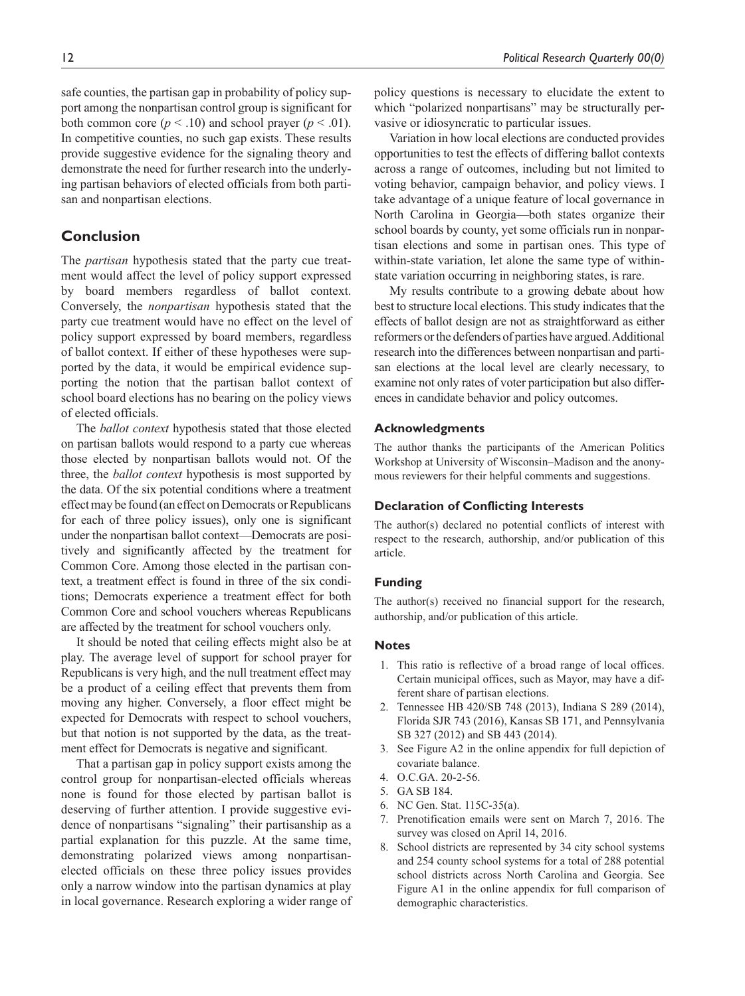safe counties, the partisan gap in probability of policy support among the nonpartisan control group is significant for both common core  $(p < .10)$  and school prayer  $(p < .01)$ . In competitive counties, no such gap exists. These results provide suggestive evidence for the signaling theory and demonstrate the need for further research into the underlying partisan behaviors of elected officials from both partisan and nonpartisan elections.

# **Conclusion**

The *partisan* hypothesis stated that the party cue treatment would affect the level of policy support expressed by board members regardless of ballot context. Conversely, the *nonpartisan* hypothesis stated that the party cue treatment would have no effect on the level of policy support expressed by board members, regardless of ballot context. If either of these hypotheses were supported by the data, it would be empirical evidence supporting the notion that the partisan ballot context of school board elections has no bearing on the policy views of elected officials.

The *ballot context* hypothesis stated that those elected on partisan ballots would respond to a party cue whereas those elected by nonpartisan ballots would not. Of the three, the *ballot context* hypothesis is most supported by the data. Of the six potential conditions where a treatment effect may be found (an effect on Democrats or Republicans for each of three policy issues), only one is significant under the nonpartisan ballot context—Democrats are positively and significantly affected by the treatment for Common Core. Among those elected in the partisan context, a treatment effect is found in three of the six conditions; Democrats experience a treatment effect for both Common Core and school vouchers whereas Republicans are affected by the treatment for school vouchers only.

It should be noted that ceiling effects might also be at play. The average level of support for school prayer for Republicans is very high, and the null treatment effect may be a product of a ceiling effect that prevents them from moving any higher. Conversely, a floor effect might be expected for Democrats with respect to school vouchers, but that notion is not supported by the data, as the treatment effect for Democrats is negative and significant.

That a partisan gap in policy support exists among the control group for nonpartisan-elected officials whereas none is found for those elected by partisan ballot is deserving of further attention. I provide suggestive evidence of nonpartisans "signaling" their partisanship as a partial explanation for this puzzle. At the same time, demonstrating polarized views among nonpartisanelected officials on these three policy issues provides only a narrow window into the partisan dynamics at play in local governance. Research exploring a wider range of policy questions is necessary to elucidate the extent to which "polarized nonpartisans" may be structurally pervasive or idiosyncratic to particular issues.

Variation in how local elections are conducted provides opportunities to test the effects of differing ballot contexts across a range of outcomes, including but not limited to voting behavior, campaign behavior, and policy views. I take advantage of a unique feature of local governance in North Carolina in Georgia—both states organize their school boards by county, yet some officials run in nonpartisan elections and some in partisan ones. This type of within-state variation, let alone the same type of withinstate variation occurring in neighboring states, is rare.

My results contribute to a growing debate about how best to structure local elections. This study indicates that the effects of ballot design are not as straightforward as either reformers or the defenders of parties have argued. Additional research into the differences between nonpartisan and partisan elections at the local level are clearly necessary, to examine not only rates of voter participation but also differences in candidate behavior and policy outcomes.

### **Acknowledgments**

The author thanks the participants of the American Politics Workshop at University of Wisconsin–Madison and the anonymous reviewers for their helpful comments and suggestions.

### **Declaration of Conflicting Interests**

The author(s) declared no potential conflicts of interest with respect to the research, authorship, and/or publication of this article.

### **Funding**

The author(s) received no financial support for the research, authorship, and/or publication of this article.

### **Notes**

- 1. This ratio is reflective of a broad range of local offices. Certain municipal offices, such as Mayor, may have a different share of partisan elections.
- 2. Tennessee HB 420/SB 748 (2013), Indiana S 289 (2014), Florida SJR 743 (2016), Kansas SB 171, and Pennsylvania SB 327 (2012) and SB 443 (2014).
- 3. See Figure A2 in the [online appendix](http://journals.sagepub.com/doi/suppl/10.1177/1065912917725405) for full depiction of covariate balance.
- 4. O.C.GA. 20-2-56.
- 5. GA SB 184.
- 6. NC Gen. Stat. 115C-35(a).
- 7. Prenotification emails were sent on March 7, 2016. The survey was closed on April 14, 2016.
- 8. School districts are represented by 34 city school systems and 254 county school systems for a total of 288 potential school districts across North Carolina and Georgia. See Figure A1 in the [online appendix](http://journals.sagepub.com/doi/suppl/10.1177/1065912917725405) for full comparison of demographic characteristics.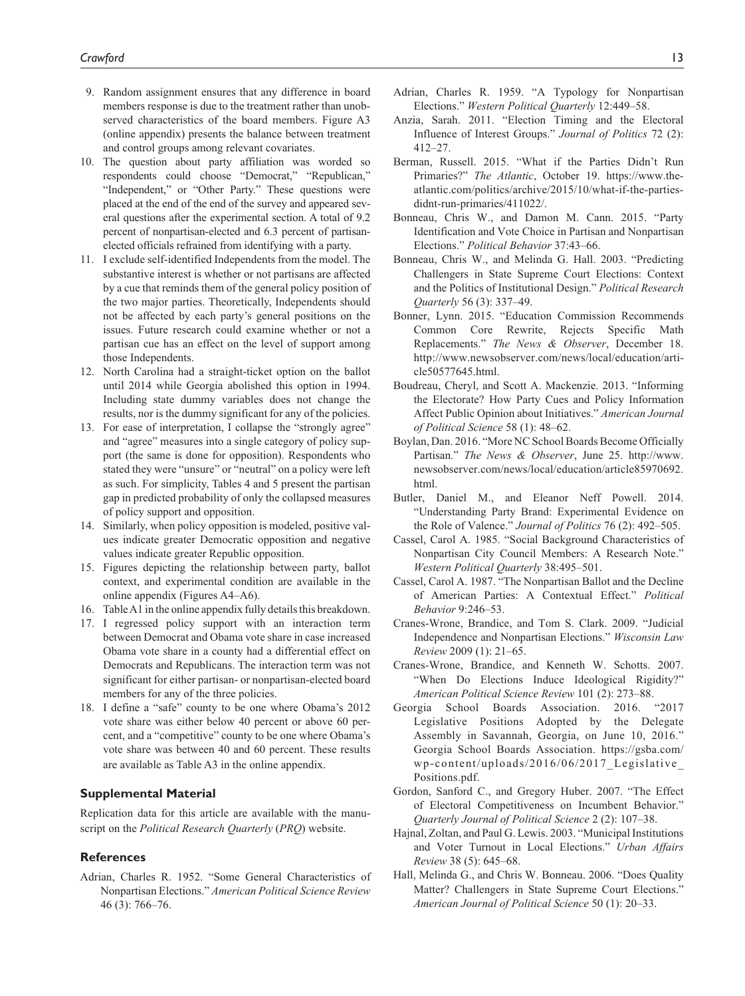- 9. Random assignment ensures that any difference in board members response is due to the treatment rather than unobserved characteristics of the board members. Figure A3 ([online appendix](http://journals.sagepub.com/doi/suppl/10.1177/1065912917725405)) presents the balance between treatment and control groups among relevant covariates.
- 10. The question about party affiliation was worded so respondents could choose "Democrat," "Republican," "Independent," or "Other Party." These questions were placed at the end of the end of the survey and appeared several questions after the experimental section. A total of 9.2 percent of nonpartisan-elected and 6.3 percent of partisanelected officials refrained from identifying with a party.
- 11. I exclude self-identified Independents from the model. The substantive interest is whether or not partisans are affected by a cue that reminds them of the general policy position of the two major parties. Theoretically, Independents should not be affected by each party's general positions on the issues. Future research could examine whether or not a partisan cue has an effect on the level of support among those Independents.
- 12. North Carolina had a straight-ticket option on the ballot until 2014 while Georgia abolished this option in 1994. Including state dummy variables does not change the results, nor is the dummy significant for any of the policies.
- 13. For ease of interpretation, I collapse the "strongly agree" and "agree" measures into a single category of policy support (the same is done for opposition). Respondents who stated they were "unsure" or "neutral" on a policy were left as such. For simplicity, Tables 4 and 5 present the partisan gap in predicted probability of only the collapsed measures of policy support and opposition.
- 14. Similarly, when policy opposition is modeled, positive values indicate greater Democratic opposition and negative values indicate greater Republic opposition.
- 15. Figures depicting the relationship between party, ballot context, and experimental condition are available in the [online appendix](http://journals.sagepub.com/doi/suppl/10.1177/1065912917725405) (Figures A4–A6).
- 16. Table A1 in the [online appendix](http://journals.sagepub.com/doi/suppl/10.1177/1065912917725405) fully details this breakdown.
- 17. I regressed policy support with an interaction term between Democrat and Obama vote share in case increased Obama vote share in a county had a differential effect on Democrats and Republicans. The interaction term was not significant for either partisan- or nonpartisan-elected board members for any of the three policies.
- 18. I define a "safe" county to be one where Obama's 2012 vote share was either below 40 percent or above 60 percent, and a "competitive" county to be one where Obama's vote share was between 40 and 60 percent. These results are available as Table A3 in the [online appendix.](http://journals.sagepub.com/doi/suppl/10.1177/1065912917725405)

#### **Supplemental Material**

Replication data for this article are available with the manuscript on the *Political Research Quarterly* (*PRQ*) website.

### **References**

Adrian, Charles R. 1952. "Some General Characteristics of Nonpartisan Elections." *American Political Science Review* 46 (3): 766–76.

- Adrian, Charles R. 1959. "A Typology for Nonpartisan Elections." *Western Political Quarterly* 12:449–58.
- Anzia, Sarah. 2011. "Election Timing and the Electoral Influence of Interest Groups." *Journal of Politics* 72 (2): 412–27.
- Berman, Russell. 2015. "What if the Parties Didn't Run Primaries?" *The Atlantic*, October 19. [https://www.the](https://www.theatlantic.com/politics/archive/2015/10/what-if-the-parties-didnt-run-primaries/411022/)[atlantic.com/politics/archive/2015/10/what-if-the-parties](https://www.theatlantic.com/politics/archive/2015/10/what-if-the-parties-didnt-run-primaries/411022/)[didnt-run-primaries/411022/](https://www.theatlantic.com/politics/archive/2015/10/what-if-the-parties-didnt-run-primaries/411022/).
- Bonneau, Chris W., and Damon M. Cann. 2015. "Party Identification and Vote Choice in Partisan and Nonpartisan Elections." *Political Behavior* 37:43–66.
- Bonneau, Chris W., and Melinda G. Hall. 2003. "Predicting Challengers in State Supreme Court Elections: Context and the Politics of Institutional Design." *Political Research Quarterly* 56 (3): 337–49.
- Bonner, Lynn. 2015. "Education Commission Recommends Common Core Rewrite, Rejects Specific Math Replacements." *The News & Observer*, December 18. [http://www.newsobserver.com/news/local/education/arti](http://www.newsobserver.com/news/local/education/article50577645.html)[cle50577645.html](http://www.newsobserver.com/news/local/education/article50577645.html).
- Boudreau, Cheryl, and Scott A. Mackenzie. 2013. "Informing the Electorate? How Party Cues and Policy Information Affect Public Opinion about Initiatives." *American Journal of Political Science* 58 (1): 48–62.
- Boylan, Dan. 2016. "More NC School Boards Become Officially Partisan." *The News & Observer*, June 25. [http://www.](http://www.newsobserver.com/news/local/education/article85970692.html) [newsobserver.com/news/local/education/article85970692.](http://www.newsobserver.com/news/local/education/article85970692.html) [html.](http://www.newsobserver.com/news/local/education/article85970692.html)
- Butler, Daniel M., and Eleanor Neff Powell. 2014. "Understanding Party Brand: Experimental Evidence on the Role of Valence." *Journal of Politics* 76 (2): 492–505.
- Cassel, Carol A. 1985. "Social Background Characteristics of Nonpartisan City Council Members: A Research Note." *Western Political Quarterly* 38:495–501.
- Cassel, Carol A. 1987. "The Nonpartisan Ballot and the Decline of American Parties: A Contextual Effect." *Political Behavior* 9:246–53.
- Cranes-Wrone, Brandice, and Tom S. Clark. 2009. "Judicial Independence and Nonpartisan Elections." *Wisconsin Law Review* 2009 (1): 21–65.
- Cranes-Wrone, Brandice, and Kenneth W. Schotts. 2007. "When Do Elections Induce Ideological Rigidity?" *American Political Science Review* 101 (2): 273–88.
- Georgia School Boards Association. 2016. "2017 Legislative Positions Adopted by the Delegate Assembly in Savannah, Georgia, on June 10, 2016." Georgia School Boards Association. <https://gsba.com/> wp-content/uploads/2016/06/2017\_Legislative\_ Positions.pdf.
- Gordon, Sanford C., and Gregory Huber. 2007. "The Effect of Electoral Competitiveness on Incumbent Behavior." *Quarterly Journal of Political Science* 2 (2): 107–38.
- Hajnal, Zoltan, and Paul G. Lewis. 2003. "Municipal Institutions and Voter Turnout in Local Elections." *Urban Affairs Review* 38 (5): 645–68.
- Hall, Melinda G., and Chris W. Bonneau. 2006. "Does Quality Matter? Challengers in State Supreme Court Elections." *American Journal of Political Science* 50 (1): 20–33.